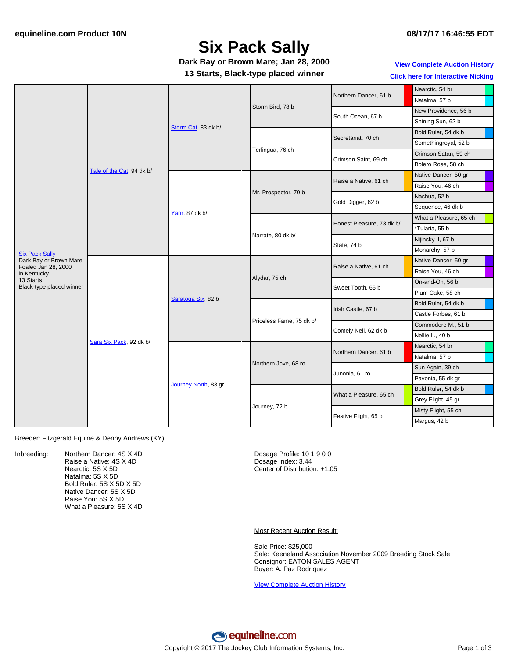# **Six Pack Sally**

**Dark Bay or Brown Mare; Jan 28, 2000**

**13 Starts, Black-type placed winner**

#### **View [Complete](http://www.equineline.com/Free-Auction-Results.cfm?upsellReferenceNumber=&upsellHorseName=&upsellBreedType=&upsellHorseType=&upsellYOB=&lookupAuctionResults=true&tempHorseType=&tempSale=ALL&tempYear=ALL&search_type=HORSE&reference_number=5204068&horse_name=Fateful&horse_type=ALL&year=ALL&sale=ALL&consignor_id=&consignor_name=&buyer_id=&buyer_name=&price_range_low=&price_range_high=&availableConsignors=&availableBuyers=&fromFree5CrossPedigree=Y) Auction History Click here for [Interactive](#page-2-0) Nicking**

|                                       | Tale of the Cat, 94 dk b/ | Storm Cat, 83 dk b/  | Storm Bird, 78 b         | Northern Dancer, 61 b     | Nearctic, 54 br        |
|---------------------------------------|---------------------------|----------------------|--------------------------|---------------------------|------------------------|
|                                       |                           |                      |                          |                           | Natalma, 57 b          |
|                                       |                           |                      |                          | South Ocean, 67 b         | New Providence, 56 b   |
|                                       |                           |                      |                          |                           | Shining Sun, 62 b      |
|                                       |                           |                      | Terlingua, 76 ch         | Secretariat, 70 ch        | Bold Ruler, 54 dk b    |
|                                       |                           |                      |                          |                           | Somethingroyal, 52 b   |
|                                       |                           |                      |                          | Crimson Saint, 69 ch      | Crimson Satan, 59 ch   |
|                                       |                           |                      |                          |                           | Bolero Rose, 58 ch     |
|                                       |                           | Yarn, 87 dk b/       | Mr. Prospector, 70 b     | Raise a Native, 61 ch     | Native Dancer, 50 gr   |
|                                       |                           |                      |                          |                           | Raise You, 46 ch       |
|                                       |                           |                      |                          | Gold Digger, 62 b         | Nashua, 52 b           |
|                                       |                           |                      |                          |                           | Sequence, 46 dk b      |
|                                       |                           |                      | Narrate, 80 dk b/        | Honest Pleasure, 73 dk b/ | What a Pleasure, 65 ch |
|                                       |                           |                      |                          |                           | *Tularia, 55 b         |
|                                       |                           |                      |                          | State, 74 b               | Nijinsky II, 67 b      |
| <b>Six Pack Sally</b>                 |                           |                      |                          |                           | Monarchy, 57 b         |
| Dark Bay or Brown Mare                | Sara Six Pack, 92 dk b/   |                      | Alydar, 75 ch            | Raise a Native, 61 ch     | Native Dancer, 50 gr   |
| Foaled Jan 28, 2000<br>in Kentucky    |                           | Saratoga Six, 82 b   |                          |                           | Raise You, 46 ch       |
| 13 Starts<br>Black-type placed winner |                           |                      |                          | Sweet Tooth, 65 b         | On-and-On, 56 b        |
|                                       |                           |                      |                          |                           | Plum Cake, 58 ch       |
|                                       |                           |                      | Priceless Fame, 75 dk b/ | Irish Castle, 67 b        | Bold Ruler, 54 dk b    |
|                                       |                           |                      |                          |                           | Castle Forbes, 61 b    |
|                                       |                           |                      |                          | Comely Nell, 62 dk b      | Commodore M., 51 b     |
|                                       |                           |                      |                          |                           | Nellie L., 40 b        |
|                                       |                           | Journey North, 83 gr | Northern Jove, 68 ro     | Northern Dancer, 61 b     | Nearctic, 54 br        |
|                                       |                           |                      |                          |                           | Natalma, 57 b          |
|                                       |                           |                      |                          | Junonia, 61 ro            | Sun Again, 39 ch       |
|                                       |                           |                      |                          |                           | Pavonia, 55 dk gr      |
|                                       |                           |                      | Journey, 72 b            | What a Pleasure, 65 ch    | Bold Ruler, 54 dk b    |
|                                       |                           |                      |                          |                           | Grey Flight, 45 gr     |
|                                       |                           |                      |                          | Festive Flight, 65 b      | Misty Flight, 55 ch    |
|                                       |                           |                      |                          |                           | Margus, 42 b           |

Breeder: Fitzgerald Equine & Denny Andrews (KY)

Inbreeding: Northern Dancer: 4S X 4D Raise a Native: 4S X 4D Nearctic: 5S X 5D Natalma: 5S X 5D Bold Ruler: 5S X 5D X 5D Native Dancer: 5S X 5D Raise You: 5S X 5D What a Pleasure: 5S X 4D Dosage Profile: 10 1 9 0 0 Dosage Index: 3.44 Center of Distribution: +1.05

Most Recent Auction Result:

Sale Price: \$25,000 Sale: Keeneland Association November 2009 Breeding Stock Sale Consignor: EATON SALES AGENT Buyer: A. Paz Rodriquez

View [Complete](http://www.equineline.com/Free-Auction-Results.cfm?upsellReferenceNumber=&upsellHorseName=&upsellBreedType=&upsellHorseType=&upsellYOB=&lookupAuctionResults=true&tempHorseType=&tempSale=ALL&tempYear=ALL&search_type=HORSE&reference_number=5204068&horse_name=Fateful&horse_type=ALL&year=ALL&sale=ALL&consignor_id=&consignor_name=&buyer_id=&buyer_name=&price_range_low=&price_range_high=&availableConsignors=&availableBuyers=&fromFree5CrossPedigree=Y) Auction History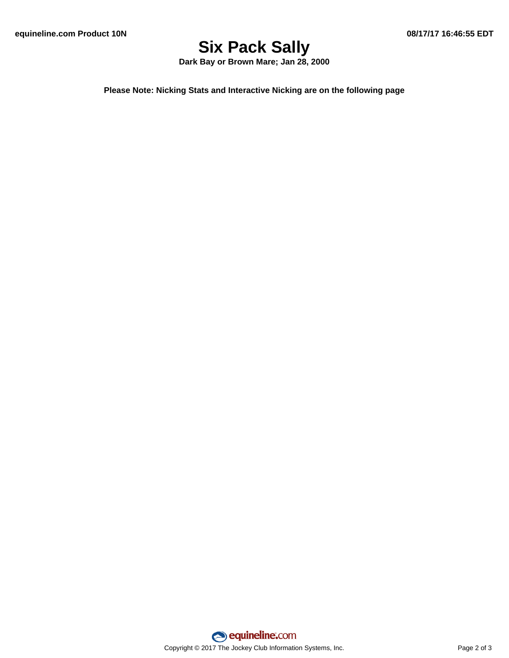# **Six Pack Sally**

**Dark Bay or Brown Mare; Jan 28, 2000**

**Please Note: Nicking Stats and Interactive Nicking are on the following page**